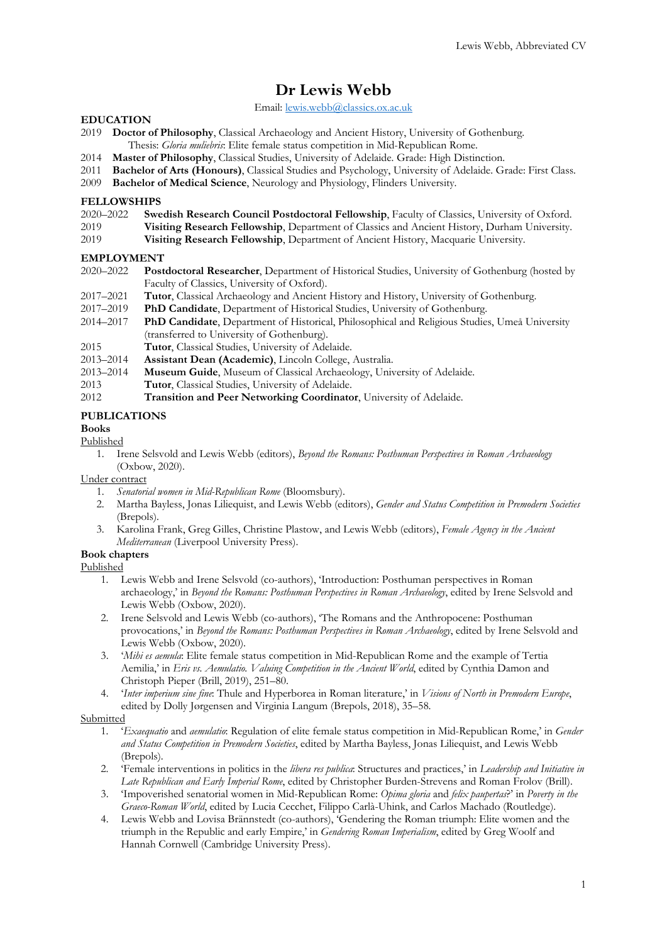# **Dr Lewis Webb**

Email[: lewis.webb@classics.ox.ac.uk](mailto:lewis.webb@classics.ox.ac.uk)

# **EDUCATION**

- 2019 **Doctor of Philosophy**, Classical Archaeology and Ancient History, University of Gothenburg. Thesis: *Gloria muliebris*: Elite female status competition in Mid-Republican Rome.
- 2014 **Master of Philosophy**, Classical Studies, University of Adelaide. Grade: High Distinction.
- 2011 **Bachelor of Arts (Honours)**, Classical Studies and Psychology, University of Adelaide. Grade: First Class.
- 2009 **Bachelor of Medical Science**, Neurology and Physiology, Flinders University.

### **FELLOWSHIPS**

| 2020-2022 Swedish Research Council Postdoctoral Fellowship, Faculty of Classics, University of Oxford. |  |
|--------------------------------------------------------------------------------------------------------|--|
|                                                                                                        |  |

- 2019 **Visiting Research Fellowship**, Department of Classics and Ancient History, Durham University.<br>2019 **Visiting Research Fellowship**, Department of Ancient History, Macquarie University.
- Visiting Research Fellowship, Department of Ancient History, Macquarie University.

### **EMPLOYMENT**

- 2020–2022 **Postdoctoral Researcher**, Department of Historical Studies, University of Gothenburg (hosted by Faculty of Classics, University of Oxford).
- 2017–2021 **Tutor**, Classical Archaeology and Ancient History and History, University of Gothenburg.
- 2017–2019 **PhD Candidate**, Department of Historical Studies, University of Gothenburg.
- 2014–2017 **PhD Candidate**, Department of Historical, Philosophical and Religious Studies, Umeå University (transferred to University of Gothenburg).
- 2015 **Tutor**, Classical Studies, University of Adelaide.
- 2013–2014 **Assistant Dean (Academic)**, Lincoln College, Australia.
- 2013–2014 **Museum Guide**, Museum of Classical Archaeology, University of Adelaide.
- 2013 **Tutor**, Classical Studies, University of Adelaide.<br>2012 **Transition and Peer Networking Coordinato**
- Transition and Peer Networking Coordinator, University of Adelaide.

# **PUBLICATIONS**

# **Books**

# Published

1. Irene Selsvold and Lewis Webb (editors), *Beyond the Romans: Posthuman Perspectives in Roman Archaeology* (Oxbow, 2020).

### Under contract

- 1. *Senatorial women in Mid-Republican Rome* (Bloomsbury).
- 2. Martha Bayless, Jonas Liliequist, and Lewis Webb (editors), *Gender and Status Competition in Premodern Societies* (Brepols).
- 3. Karolina Frank, Greg Gilles, Christine Plastow, and Lewis Webb (editors), *Female Agency in the Ancient Mediterranean* (Liverpool University Press).

# **Book chapters**

Published

- 1. Lewis Webb and Irene Selsvold (co-authors), 'Introduction: Posthuman perspectives in Roman archaeology,' in *Beyond the Romans: Posthuman Perspectives in Roman Archaeology*, edited by Irene Selsvold and Lewis Webb (Oxbow, 2020).
- 2. Irene Selsvold and Lewis Webb (co-authors), 'The Romans and the Anthropocene: Posthuman provocations,' in *Beyond the Romans: Posthuman Perspectives in Roman Archaeology*, edited by Irene Selsvold and Lewis Webb (Oxbow, 2020).
- 3. '*Mihi es aemula*: Elite female status competition in Mid-Republican Rome and the example of Tertia Aemilia,' in *Eris vs. Aemulatio. Valuing Competition in the Ancient World*, edited by Cynthia Damon and Christoph Pieper (Brill, 2019), 251–80.
- 4. '*Inter imperium sine fine*: Thule and Hyperborea in Roman literature,' in *Visions of North in Premodern Europe*, edited by Dolly Jørgensen and Virginia Langum (Brepols, 2018), 35–58.

### Submitted

- 1. '*Exaequatio* and *aemulatio*: Regulation of elite female status competition in Mid-Republican Rome,' in *Gender and Status Competition in Premodern Societies*, edited by Martha Bayless, Jonas Liliequist, and Lewis Webb (Brepols).
- 2. 'Female interventions in politics in the *libera res publica*: Structures and practices,' in *Leadership and Initiative in Late Republican and Early Imperial Rome*, edited by Christopher Burden-Strevens and Roman Frolov (Brill).
- 3. 'Impoverished senatorial women in Mid-Republican Rome: *Opima gloria* and *felix paupertas*?' in *Poverty in the Graeco-Roman World*, edited by Lucia Cecchet, Filippo Carlà-Uhink, and Carlos Machado (Routledge).
- 4. Lewis Webb and Lovisa Brännstedt (co-authors), 'Gendering the Roman triumph: Elite women and the triumph in the Republic and early Empire,' in *Gendering Roman Imperialism*, edited by Greg Woolf and Hannah Cornwell (Cambridge University Press).